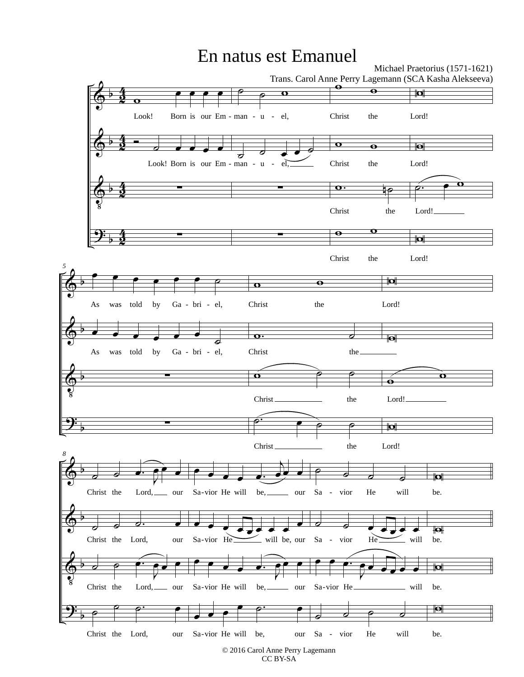## En natus est Emanuel

Michael Praetorius (1571-1621)



CC BY-SA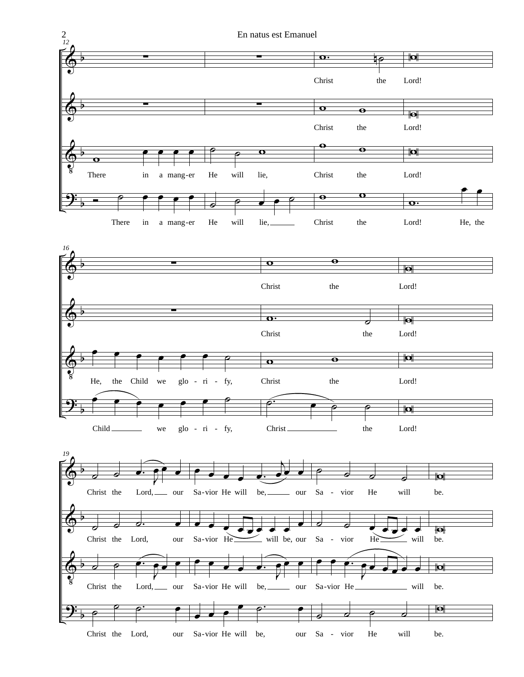